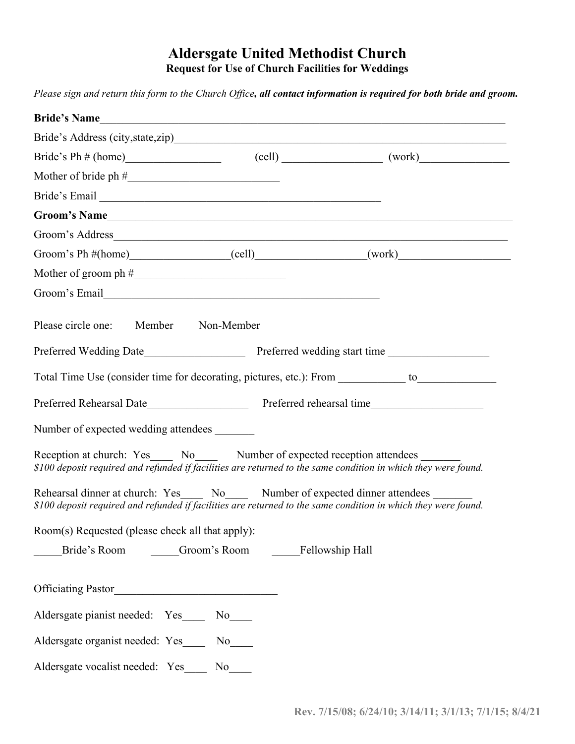## **Aldersgate United Methodist Church Request for Use of Church Facilities for Weddings**

*Please sign and return this form to the Church Office, all contact information is required for both bride and groom.* 

| Bride's Ph $\#$ (home) (cell) (cell) (work)                                                                                                                                                                                    |
|--------------------------------------------------------------------------------------------------------------------------------------------------------------------------------------------------------------------------------|
|                                                                                                                                                                                                                                |
| Bride's Email Land and Contact the Contract of the Contract of the Contract of the Contract of the Contract of the Contract of the Contract of the Contract of the Contract of the Contract of the Contract of the Contract of |
| Groom's Name                                                                                                                                                                                                                   |
|                                                                                                                                                                                                                                |
| Groom's Ph $\#(\text{home})$ (cell) (work)                                                                                                                                                                                     |
|                                                                                                                                                                                                                                |
|                                                                                                                                                                                                                                |
| Please circle one: Member Non-Member                                                                                                                                                                                           |
|                                                                                                                                                                                                                                |
| Total Time Use (consider time for decorating, pictures, etc.): From ___________ to__________________                                                                                                                           |
| Preferred Rehearsal Date learned Rehearsal Date learned Rehearsal Date learned Rehearsal Date learned Rehearsal Date learned Rehearsal Date learned Rehearsal Date learned Rehearsal Date learned Rehearsal Date learned Rehea |
| Number of expected wedding attendees                                                                                                                                                                                           |
| Reception at church: Yes ______ No_______ Number of expected reception attendees ______<br>\$100 deposit required and refunded if facilities are returned to the same condition in which they were found.                      |
| Rehearsal dinner at church: Yes_____ No_____ Number of expected dinner attendees ____<br>\$100 deposit required and refunded if facilities are returned to the same condition in which they were found.                        |
| Room(s) Requested (please check all that apply):                                                                                                                                                                               |
| Bride's Room Groom's Room Fellowship Hall                                                                                                                                                                                      |
|                                                                                                                                                                                                                                |
| Aldersgate pianist needed: Yes_____ No____                                                                                                                                                                                     |
| Aldersgate organist needed: Yes_____ No____                                                                                                                                                                                    |
| Aldersgate vocalist needed: Yes____ No____                                                                                                                                                                                     |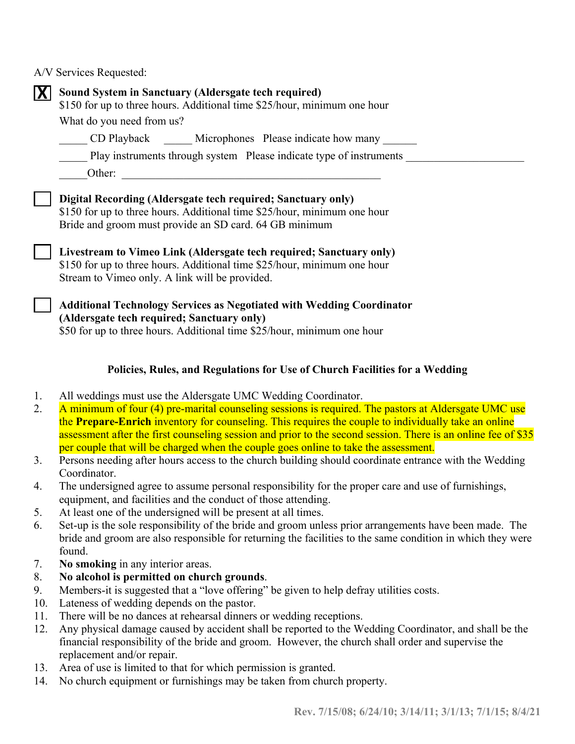A/V Services Requested:

| Sound System in Sanctuary (Aldersgate tech required)<br>\$150 for up to three hours. Additional time \$25/hour, minimum one hour<br>What do you need from us?<br>CD Playback Microphones Please indicate how many<br>Play instruments through system Please indicate type of instruments<br>Other:<br><u> 1980 - Johann Barbara, martxa alemaniar arg</u> |
|-----------------------------------------------------------------------------------------------------------------------------------------------------------------------------------------------------------------------------------------------------------------------------------------------------------------------------------------------------------|
| Digital Recording (Aldersgate tech required; Sanctuary only)<br>\$150 for up to three hours. Additional time \$25/hour, minimum one hour<br>Bride and groom must provide an SD card. 64 GB minimum                                                                                                                                                        |
| Livestream to Vimeo Link (Aldersgate tech required; Sanctuary only)<br>\$150 for up to three hours. Additional time \$25/hour, minimum one hour<br>Stream to Vimeo only. A link will be provided.                                                                                                                                                         |
| <b>Additional Technology Services as Negotiated with Wedding Coordinator</b><br>(Aldersgate tech required; Sanctuary only)<br>\$50 for up to three hours. Additional time \$25/hour, minimum one hour                                                                                                                                                     |

## **Policies, Rules, and Regulations for Use of Church Facilities for a Wedding**

- 1. All weddings must use the Aldersgate UMC Wedding Coordinator.
- 2. A minimum of four (4) pre-marital counseling sessions is required. The pastors at Aldersgate UMC use the **Prepare-Enrich** inventory for counseling. This requires the couple to individually take an online assessment after the first counseling session and prior to the second session. There is an online fee of \$35 per couple that will be charged when the couple goes online to take the assessment.
- 3. Persons needing after hours access to the church building should coordinate entrance with the Wedding Coordinator.
- 4. The undersigned agree to assume personal responsibility for the proper care and use of furnishings, equipment, and facilities and the conduct of those attending.
- 5. At least one of the undersigned will be present at all times.
- 6. Set-up is the sole responsibility of the bride and groom unless prior arrangements have been made. The bride and groom are also responsible for returning the facilities to the same condition in which they were found.
- 7. **No smoking** in any interior areas.
- 8. **No alcohol is permitted on church grounds**.
- 9. Members-it is suggested that a "love offering" be given to help defray utilities costs.
- 10. Lateness of wedding depends on the pastor.
- 11. There will be no dances at rehearsal dinners or wedding receptions.
- 12. Any physical damage caused by accident shall be reported to the Wedding Coordinator, and shall be the financial responsibility of the bride and groom. However, the church shall order and supervise the replacement and/or repair.
- 13. Area of use is limited to that for which permission is granted.
- 14. No church equipment or furnishings may be taken from church property.